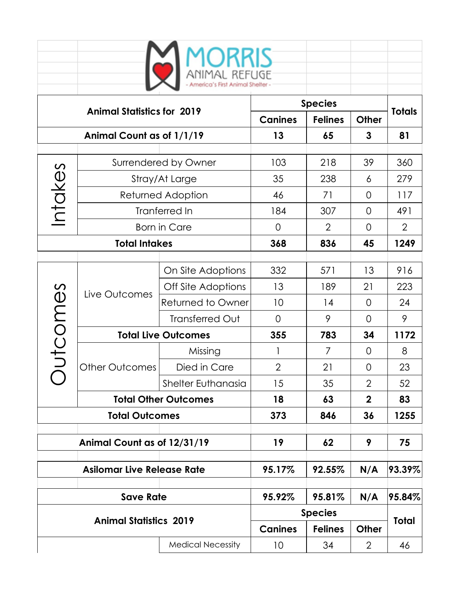|                                             |                                           | <b>10RRIS</b><br>11MAL REFUGE |                |                |                     |             |  |
|---------------------------------------------|-------------------------------------------|-------------------------------|----------------|----------------|---------------------|-------------|--|
| <b>Animal Statistics for 2019</b>           |                                           | <b>Species</b>                |                |                | <b>Totals</b>       |             |  |
|                                             |                                           |                               | <b>Canines</b> | <b>Felines</b> | <b>Other</b>        |             |  |
| Animal Count as of 1/1/19                   |                                           |                               | 13             | 65             | 3                   | 81          |  |
| Intakes                                     |                                           |                               | 103            | 218            | 39                  | 360         |  |
|                                             | Surrendered by Owner                      |                               | 35             | 238            |                     | 279         |  |
|                                             | Stray/At Large                            |                               | 46             | 71             | 6<br>$\overline{0}$ | 117         |  |
|                                             | <b>Returned Adoption</b><br>Tranferred In |                               | 184            | 307            | 0                   | 491         |  |
|                                             |                                           |                               | $\overline{0}$ | $\overline{2}$ | 0                   | 2           |  |
| <b>Born in Care</b><br><b>Total Intakes</b> |                                           |                               | 368            | 836            | 45                  | 1249        |  |
|                                             |                                           |                               |                |                |                     |             |  |
| utcomes                                     | Live Outcomes                             | On Site Adoptions             | 332            | 571            | 13                  | 916         |  |
|                                             |                                           | Off Site Adoptions            | 13             | 189            | 21                  | 223         |  |
|                                             |                                           | Returned to Owner             | 10             | 14             | 0                   | 24          |  |
|                                             |                                           | Transferred Out               | $\overline{0}$ | 9              | $\overline{O}$      | 9           |  |
|                                             | <b>Total Live Outcomes</b>                |                               | 355            | 783            | 34                  | 1172        |  |
|                                             | <b>Other Outcomes</b>                     | Missing                       | 1              | $\overline{7}$ | 0                   | 8           |  |
|                                             |                                           | Died in Care                  | $\overline{2}$ | 21             | 0                   | 23          |  |
|                                             |                                           | Shelter Euthanasia            | 15             | 35             | $\overline{2}$      | 52          |  |
|                                             | <b>Total Other Outcomes</b>               |                               | 18             | 63             | $\mathbf{2}$        | 83          |  |
| <b>Total Outcomes</b>                       |                                           |                               | 373            | 846            | 36                  | 1255        |  |
|                                             |                                           |                               | 19             | 62             | 9                   | 75          |  |
| Animal Count as of 12/31/19                 |                                           |                               |                |                |                     |             |  |
| <b>Asilomar Live Release Rate</b>           |                                           |                               | 95.17%         | 92.55%         | N/A                 | $ 93.39\% $ |  |
| <b>Save Rate</b>                            |                                           |                               | 95.92%         | 95.81%         | N/A                 | 95.84%      |  |
|                                             |                                           | <b>Species</b>                |                |                |                     |             |  |
| <b>Animal Statistics 2019</b>               |                                           |                               | <b>Canines</b> | <b>Felines</b> | <b>Other</b>        | Total       |  |
| <b>Medical Necessity</b>                    |                                           |                               | 10             | 34             | $\overline{2}$      | 46          |  |